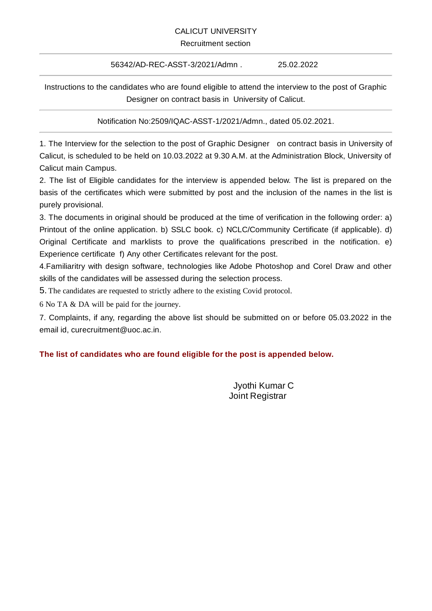## CALICUT UNIVERSITY

## Recruitment section

## 56342/AD-REC-ASST-3/2021/Admn . 25.02.2022

Instructions to the candidates who are found eligible to attend the interview to the post of Graphic Designer on contract basis in University of Calicut.

Notification No:2509/IQAC-ASST-1/2021/Admn., dated 05.02.2021.

1. The Interview for the selection to the post of Graphic Designer on contract basis in University of Calicut, is scheduled to be held on 10.03.2022 at 9.30 A.M. at the Administration Block, University of Calicut main Campus.

2. The list of Eligible candidates for the interview is appended below. The list is prepared on the basis of the certificates which were submitted by post and the inclusion of the names in the list is purely provisional.

3. The documents in original should be produced at the time of verification in the following order: a) Printout of the online application. b) SSLC book. c) NCLC/Community Certificate (if applicable). d) Original Certificate and marklists to prove the qualifications prescribed in the notification. e) Experience certificate f) Any other Certificates relevant for the post.

4.Familiaritry with design software, technologies like Adobe Photoshop and Corel Draw and other skills of the candidates will be assessed during the selection process.

5. The candidates are requested to strictly adhere to the existing Covid protocol.

6 No TA & DA will be paid for the journey.

7. Complaints, if any, regarding the above list should be submitted on or before 05.03.2022 in the email id, curecruitment@uoc.ac.in.

## **The list of candidates who are found eligible for the post is appended below.**

Jyothi Kumar C Joint Registrar